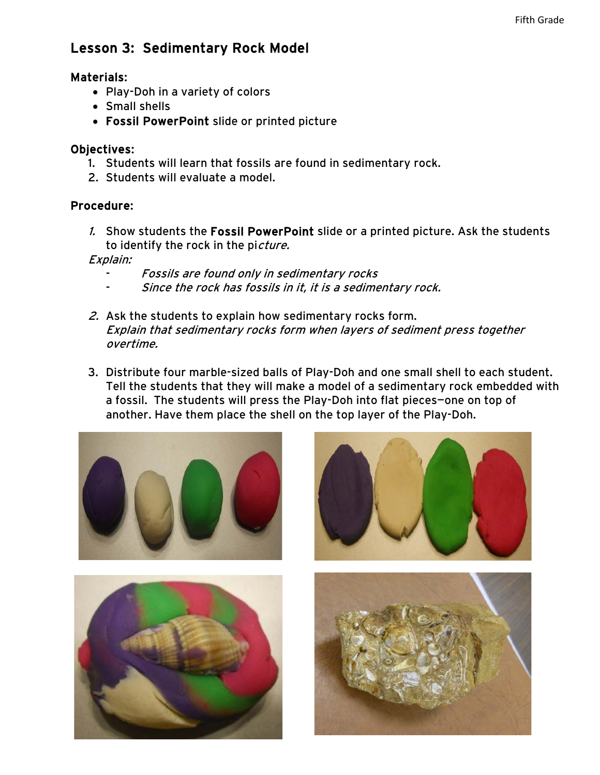# Lesson 3: Sedimentary Rock Model

#### Materials:

- Play-Doh in a variety of colors
- Small shells
- Fossil PowerPoint slide or printed picture

### Objectives:

- 1. Students will learn that fossils are found in sedimentary rock.
- 2. Students will evaluate a model.

## Procedure:

1. Show students the Fossil PowerPoint slide or a printed picture. Ask the students to identify the rock in the picture.

Explain:

- Fossils are found only in sedimentary rocks
- Since the rock has fossils in it, it is a sedimentary rock.
- 2. Ask the students to explain how sedimentary rocks form. Explain that sedimentary rocks form when layers of sediment press together overtime.
- 3. Distribute four marble-sized balls of Play-Doh and one small shell to each student. Tell the students that they will make a model of a sedimentary rock embedded with a fossil. The students will press the Play-Doh into flat pieces—one on top of another. Have them place the shell on the top layer of the Play-Doh.